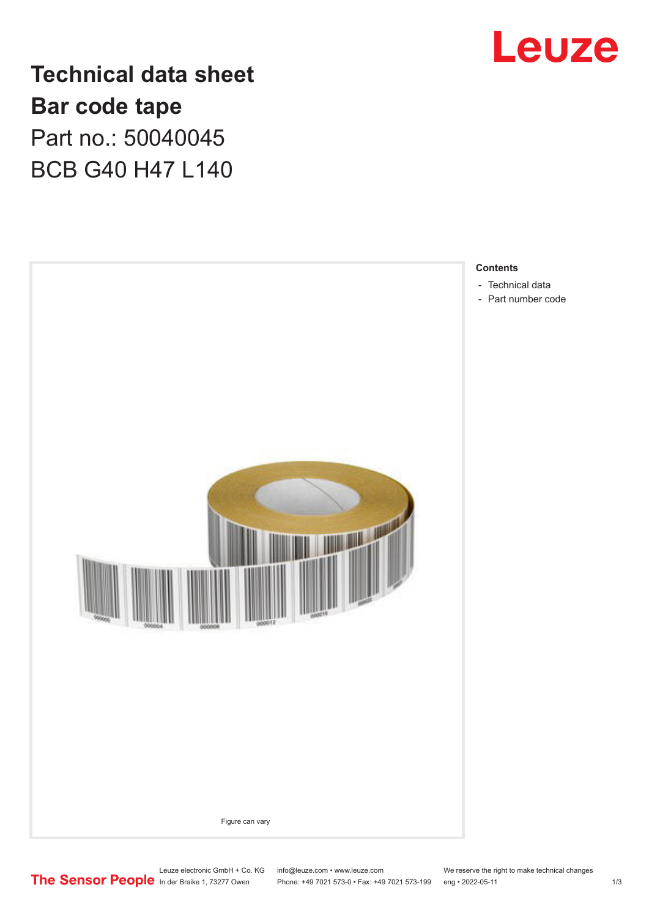

**Technical data sheet Bar code tape** Part no.: 50040045 BCB G40 H47 L140



Leuze electronic GmbH + Co. KG info@leuze.com • www.leuze.com We reserve the right to make technical changes<br>
The Sensor People in der Braike 1, 73277 Owen Phone: +49 7021 573-0 • Fax: +49 7021 573-199 eng • 2022-05-11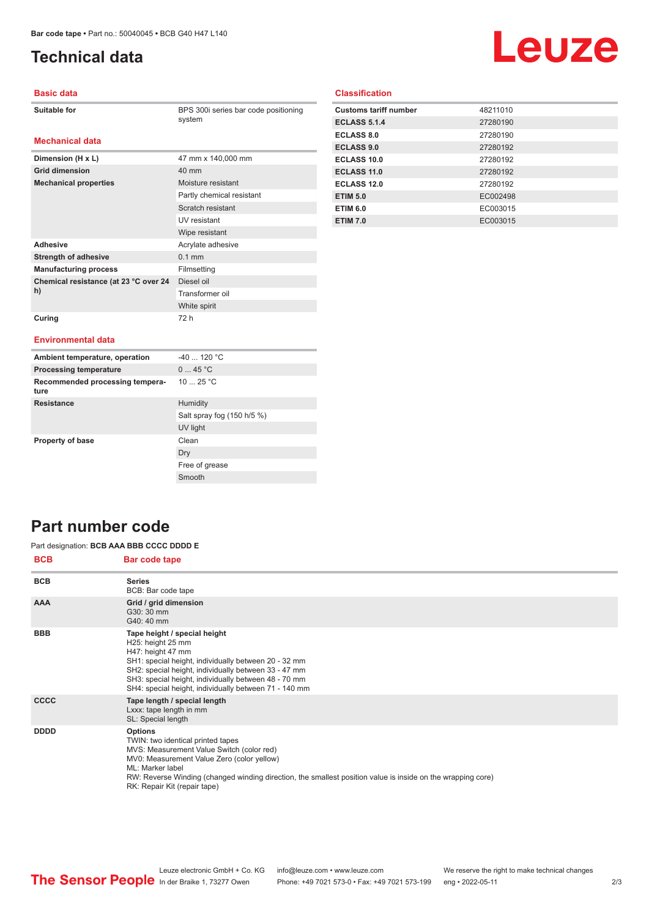**Dimension (H x L)** 47 mm x 140,000 mm

**Mechanical properties** Moisture resistant

Adhesive **Adhesive** Acrylate adhesive **Strength of adhesive** 0.1 mm **Manufacturing process** Filmsetting

**Grid dimension** 40 mm

**Chemical resistance (at 23 °C over 24** 

# <span id="page-1-0"></span>**Technical data**

# Leuze

## **Basic data**

| <b>Suitable for</b> |
|---------------------|
|---------------------|

**Mechanical data**

BPS 300i series bar code positioning system

Partly chemical resistant Scratch resistant UV resistant Wipe resistant

Diesel oil Transformer oil White spirit

## **Classification**

| <b>Customs tariff number</b> | 48211010 |
|------------------------------|----------|
| <b>ECLASS 5.1.4</b>          | 27280190 |
| <b>ECLASS 8.0</b>            | 27280190 |
| <b>ECLASS 9.0</b>            | 27280192 |
| ECLASS 10.0                  | 27280192 |
| ECLASS 11.0                  | 27280192 |
| <b>ECLASS 12.0</b>           | 27280192 |
| <b>ETIM 5.0</b>              | EC002498 |
| <b>ETIM 6.0</b>              | EC003015 |
| <b>ETIM 7.0</b>              | EC003015 |

### **Curing** 72 h

**h)**

#### **Environmental data**

| Ambient temperature, operation          | $-40$ 120 °C               |
|-----------------------------------------|----------------------------|
| <b>Processing temperature</b>           | 045 °C                     |
| Recommended processing tempera-<br>ture | 10 $25 °C$                 |
| <b>Resistance</b>                       | Humidity                   |
|                                         | Salt spray fog (150 h/5 %) |
|                                         | UV light                   |
| <b>Property of base</b>                 | Clean                      |
|                                         | Dry                        |
|                                         | Free of grease             |
|                                         | Smooth                     |

## **Part number code**

#### Part designation: **BCB AAA BBB CCCC DDDD E**

| <b>BCB</b>  | <b>Bar code tape</b>                                                                                                                                                                                                                                                                                              |
|-------------|-------------------------------------------------------------------------------------------------------------------------------------------------------------------------------------------------------------------------------------------------------------------------------------------------------------------|
| <b>BCB</b>  | <b>Series</b><br>BCB: Bar code tape                                                                                                                                                                                                                                                                               |
| <b>AAA</b>  | Grid / grid dimension<br>G30: 30 mm<br>G40: 40 mm                                                                                                                                                                                                                                                                 |
| <b>BBB</b>  | Tape height / special height<br>H25: height 25 mm<br>H47: height 47 mm<br>SH1: special height, individually between 20 - 32 mm<br>SH2: special height, individually between 33 - 47 mm<br>SH3: special height, individually between 48 - 70 mm<br>SH4: special height, individually between 71 - 140 mm           |
| <b>CCCC</b> | Tape length / special length<br>Lxxx: tape length in mm<br>SL: Special length                                                                                                                                                                                                                                     |
| <b>DDDD</b> | <b>Options</b><br>TWIN: two identical printed tapes<br>MVS: Measurement Value Switch (color red)<br>MV0: Measurement Value Zero (color yellow)<br>ML: Marker label<br>RW: Reverse Winding (changed winding direction, the smallest position value is inside on the wrapping core)<br>RK: Repair Kit (repair tape) |